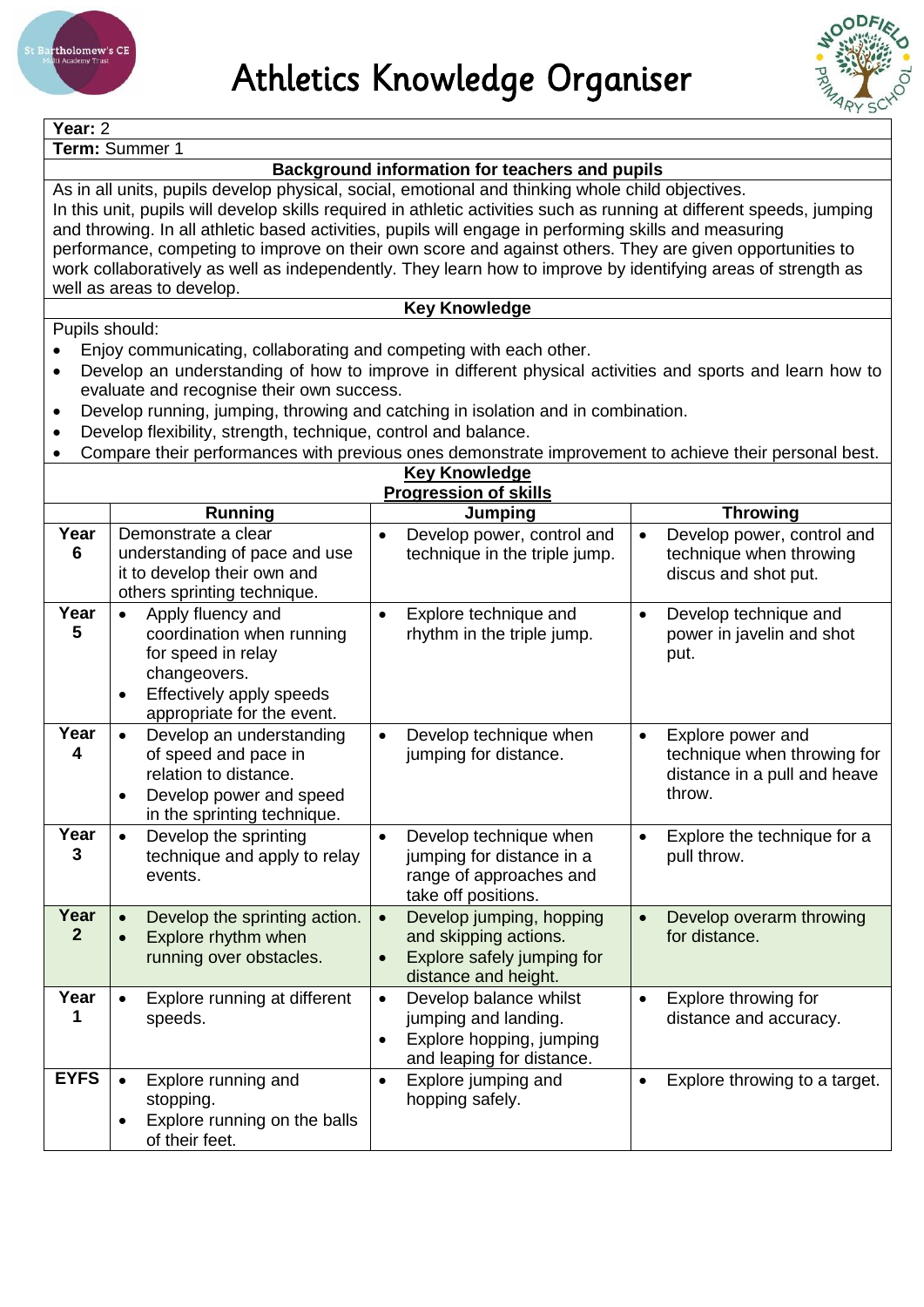



| Year: 2                                                                                                                                                                                                                   |                                                                                                              |                                                   |                                                        |  |  |  |  |  |
|---------------------------------------------------------------------------------------------------------------------------------------------------------------------------------------------------------------------------|--------------------------------------------------------------------------------------------------------------|---------------------------------------------------|--------------------------------------------------------|--|--|--|--|--|
|                                                                                                                                                                                                                           | Term: Summer 1                                                                                               |                                                   |                                                        |  |  |  |  |  |
| Background information for teachers and pupils                                                                                                                                                                            |                                                                                                              |                                                   |                                                        |  |  |  |  |  |
| As in all units, pupils develop physical, social, emotional and thinking whole child objectives.<br>In this unit, pupils will develop skills required in athletic activities such as running at different speeds, jumping |                                                                                                              |                                                   |                                                        |  |  |  |  |  |
| and throwing. In all athletic based activities, pupils will engage in performing skills and measuring                                                                                                                     |                                                                                                              |                                                   |                                                        |  |  |  |  |  |
|                                                                                                                                                                                                                           | performance, competing to improve on their own score and against others. They are given opportunities to     |                                                   |                                                        |  |  |  |  |  |
|                                                                                                                                                                                                                           | work collaboratively as well as independently. They learn how to improve by identifying areas of strength as |                                                   |                                                        |  |  |  |  |  |
| well as areas to develop.                                                                                                                                                                                                 |                                                                                                              |                                                   |                                                        |  |  |  |  |  |
| <b>Key Knowledge</b>                                                                                                                                                                                                      |                                                                                                              |                                                   |                                                        |  |  |  |  |  |
| Pupils should:                                                                                                                                                                                                            |                                                                                                              |                                                   |                                                        |  |  |  |  |  |
|                                                                                                                                                                                                                           | Enjoy communicating, collaborating and competing with each other.                                            |                                                   |                                                        |  |  |  |  |  |
|                                                                                                                                                                                                                           | Develop an understanding of how to improve in different physical activities and sports and learn how to      |                                                   |                                                        |  |  |  |  |  |
|                                                                                                                                                                                                                           | evaluate and recognise their own success.                                                                    |                                                   |                                                        |  |  |  |  |  |
| $\bullet$                                                                                                                                                                                                                 | Develop running, jumping, throwing and catching in isolation and in combination.                             |                                                   |                                                        |  |  |  |  |  |
| ٠                                                                                                                                                                                                                         | Develop flexibility, strength, technique, control and balance.                                               |                                                   |                                                        |  |  |  |  |  |
|                                                                                                                                                                                                                           | Compare their performances with previous ones demonstrate improvement to achieve their personal best.        | <b>Key Knowledge</b>                              |                                                        |  |  |  |  |  |
|                                                                                                                                                                                                                           |                                                                                                              | <b>Progression of skills</b>                      |                                                        |  |  |  |  |  |
|                                                                                                                                                                                                                           | <b>Running</b>                                                                                               | Jumping                                           | <b>Throwing</b>                                        |  |  |  |  |  |
| Year                                                                                                                                                                                                                      | Demonstrate a clear                                                                                          | Develop power, control and                        | Develop power, control and<br>$\bullet$                |  |  |  |  |  |
| 6                                                                                                                                                                                                                         | understanding of pace and use                                                                                | technique in the triple jump.                     | technique when throwing                                |  |  |  |  |  |
|                                                                                                                                                                                                                           | it to develop their own and                                                                                  |                                                   | discus and shot put.                                   |  |  |  |  |  |
|                                                                                                                                                                                                                           | others sprinting technique.                                                                                  |                                                   |                                                        |  |  |  |  |  |
| Year                                                                                                                                                                                                                      | Apply fluency and<br>$\bullet$                                                                               | Explore technique and<br>$\bullet$                | Develop technique and<br>$\bullet$                     |  |  |  |  |  |
| 5                                                                                                                                                                                                                         | coordination when running                                                                                    | rhythm in the triple jump.                        | power in javelin and shot                              |  |  |  |  |  |
|                                                                                                                                                                                                                           | for speed in relay<br>changeovers.                                                                           |                                                   | put.                                                   |  |  |  |  |  |
|                                                                                                                                                                                                                           | Effectively apply speeds                                                                                     |                                                   |                                                        |  |  |  |  |  |
|                                                                                                                                                                                                                           | appropriate for the event.                                                                                   |                                                   |                                                        |  |  |  |  |  |
| Year                                                                                                                                                                                                                      | Develop an understanding<br>$\bullet$                                                                        | Develop technique when<br>$\bullet$               | Explore power and<br>$\bullet$                         |  |  |  |  |  |
| 4                                                                                                                                                                                                                         | of speed and pace in                                                                                         | jumping for distance.                             | technique when throwing for                            |  |  |  |  |  |
|                                                                                                                                                                                                                           | relation to distance.                                                                                        |                                                   | distance in a pull and heave                           |  |  |  |  |  |
|                                                                                                                                                                                                                           | Develop power and speed                                                                                      |                                                   | throw.                                                 |  |  |  |  |  |
|                                                                                                                                                                                                                           | in the sprinting technique.                                                                                  |                                                   |                                                        |  |  |  |  |  |
| Year                                                                                                                                                                                                                      | Develop the sprinting                                                                                        | Develop technique when                            | Explore the technique for a<br>$\bullet$               |  |  |  |  |  |
| 3                                                                                                                                                                                                                         | technique and apply to relay                                                                                 | jumping for distance in a                         | pull throw.                                            |  |  |  |  |  |
|                                                                                                                                                                                                                           | events.                                                                                                      | range of approaches and                           |                                                        |  |  |  |  |  |
| Year                                                                                                                                                                                                                      |                                                                                                              | take off positions.                               |                                                        |  |  |  |  |  |
| $\mathbf{2}$                                                                                                                                                                                                              | Develop the sprinting action.<br>Explore rhythm when                                                         | Develop jumping, hopping<br>and skipping actions. | Develop overarm throwing<br>$\bullet$<br>for distance. |  |  |  |  |  |
|                                                                                                                                                                                                                           | running over obstacles.                                                                                      | Explore safely jumping for                        |                                                        |  |  |  |  |  |
|                                                                                                                                                                                                                           |                                                                                                              | distance and height.                              |                                                        |  |  |  |  |  |
| Year                                                                                                                                                                                                                      | Explore running at different<br>$\bullet$                                                                    | Develop balance whilst<br>$\bullet$               | Explore throwing for<br>$\bullet$                      |  |  |  |  |  |
| 1                                                                                                                                                                                                                         | speeds.                                                                                                      | jumping and landing.                              | distance and accuracy.                                 |  |  |  |  |  |
|                                                                                                                                                                                                                           |                                                                                                              | Explore hopping, jumping                          |                                                        |  |  |  |  |  |
|                                                                                                                                                                                                                           |                                                                                                              | and leaping for distance.                         |                                                        |  |  |  |  |  |
| <b>EYFS</b>                                                                                                                                                                                                               | Explore running and<br>$\bullet$                                                                             | Explore jumping and<br>$\bullet$                  | Explore throwing to a target.<br>$\bullet$             |  |  |  |  |  |
|                                                                                                                                                                                                                           | stopping.                                                                                                    | hopping safely.                                   |                                                        |  |  |  |  |  |
| Explore running on the balls                                                                                                                                                                                              |                                                                                                              |                                                   |                                                        |  |  |  |  |  |
|                                                                                                                                                                                                                           | of their feet.                                                                                               |                                                   |                                                        |  |  |  |  |  |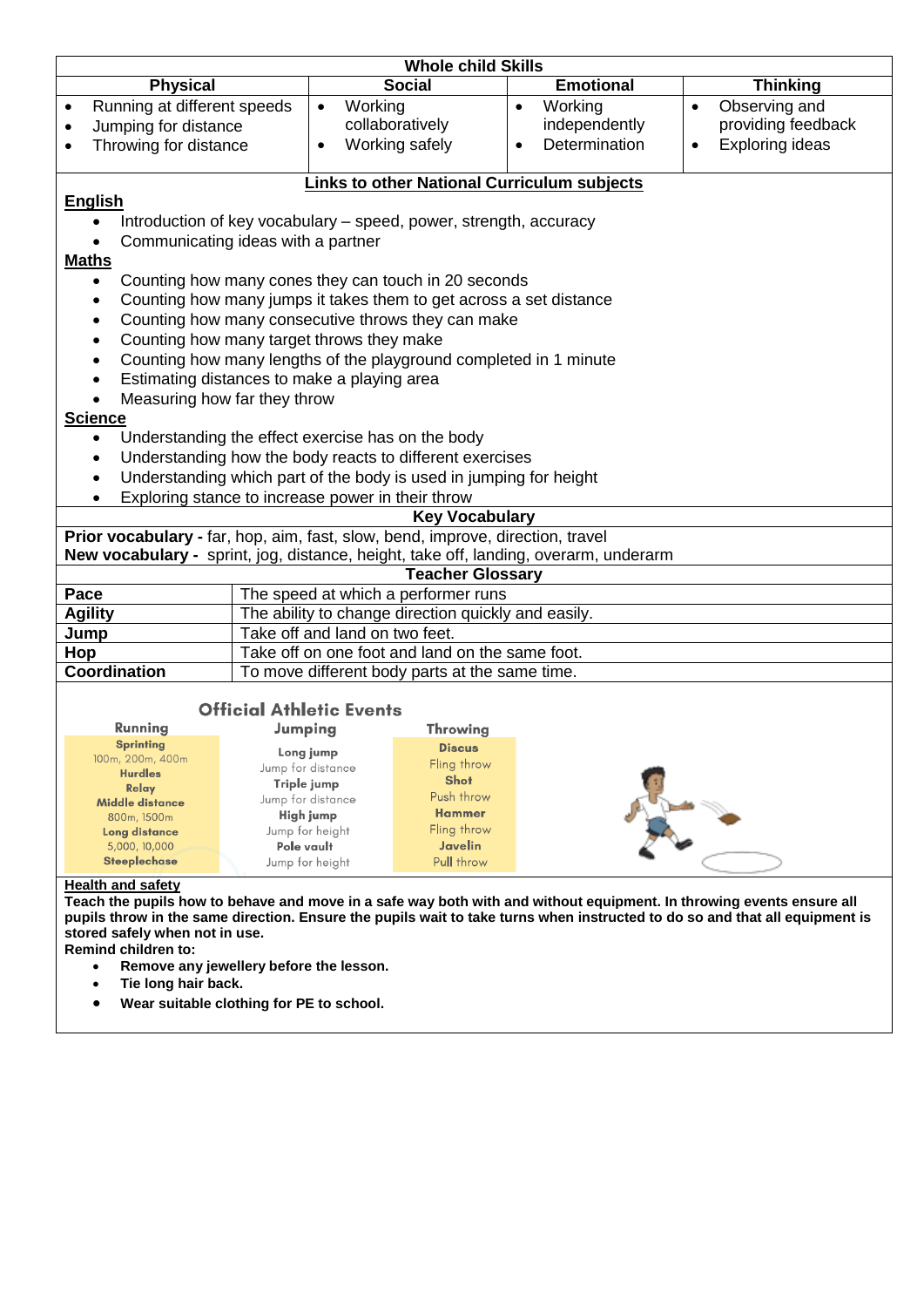| <b>Whole child Skills</b>                                                                                                               |                                                                                      |                                                 |                            |                                     |  |  |  |  |  |
|-----------------------------------------------------------------------------------------------------------------------------------------|--------------------------------------------------------------------------------------|-------------------------------------------------|----------------------------|-------------------------------------|--|--|--|--|--|
| <b>Physical</b>                                                                                                                         |                                                                                      | <b>Social</b>                                   | <b>Emotional</b>           | <b>Thinking</b>                     |  |  |  |  |  |
| Running at different speeds                                                                                                             | Working<br>$\bullet$                                                                 |                                                 | Working<br>$\bullet$       | Observing and<br>$\bullet$          |  |  |  |  |  |
| Jumping for distance                                                                                                                    |                                                                                      | collaboratively                                 | independently              | providing feedback                  |  |  |  |  |  |
| Throwing for distance<br>$\bullet$                                                                                                      | $\bullet$                                                                            | Working safely                                  | Determination<br>$\bullet$ | <b>Exploring ideas</b><br>$\bullet$ |  |  |  |  |  |
|                                                                                                                                         |                                                                                      |                                                 |                            |                                     |  |  |  |  |  |
| <b>Links to other National Curriculum subjects</b>                                                                                      |                                                                                      |                                                 |                            |                                     |  |  |  |  |  |
| <b>English</b>                                                                                                                          |                                                                                      |                                                 |                            |                                     |  |  |  |  |  |
| $\bullet$                                                                                                                               | Introduction of key vocabulary – speed, power, strength, accuracy                    |                                                 |                            |                                     |  |  |  |  |  |
|                                                                                                                                         |                                                                                      |                                                 |                            |                                     |  |  |  |  |  |
| Communicating ideas with a partner<br><b>Maths</b>                                                                                      |                                                                                      |                                                 |                            |                                     |  |  |  |  |  |
|                                                                                                                                         |                                                                                      |                                                 |                            |                                     |  |  |  |  |  |
| Counting how many cones they can touch in 20 seconds<br>$\bullet$<br>Counting how many jumps it takes them to get across a set distance |                                                                                      |                                                 |                            |                                     |  |  |  |  |  |
| $\bullet$                                                                                                                               |                                                                                      |                                                 |                            |                                     |  |  |  |  |  |
|                                                                                                                                         | Counting how many consecutive throws they can make<br>$\bullet$                      |                                                 |                            |                                     |  |  |  |  |  |
| $\bullet$                                                                                                                               | Counting how many target throws they make                                            |                                                 |                            |                                     |  |  |  |  |  |
| $\bullet$                                                                                                                               | Counting how many lengths of the playground completed in 1 minute                    |                                                 |                            |                                     |  |  |  |  |  |
| $\bullet$                                                                                                                               | Estimating distances to make a playing area                                          |                                                 |                            |                                     |  |  |  |  |  |
|                                                                                                                                         | Measuring how far they throw                                                         |                                                 |                            |                                     |  |  |  |  |  |
| <b>Science</b>                                                                                                                          |                                                                                      |                                                 |                            |                                     |  |  |  |  |  |
| $\bullet$                                                                                                                               | Understanding the effect exercise has on the body                                    |                                                 |                            |                                     |  |  |  |  |  |
| $\bullet$                                                                                                                               | Understanding how the body reacts to different exercises                             |                                                 |                            |                                     |  |  |  |  |  |
| $\bullet$                                                                                                                               | Understanding which part of the body is used in jumping for height                   |                                                 |                            |                                     |  |  |  |  |  |
| $\bullet$                                                                                                                               | Exploring stance to increase power in their throw                                    |                                                 |                            |                                     |  |  |  |  |  |
|                                                                                                                                         |                                                                                      | <b>Key Vocabulary</b>                           |                            |                                     |  |  |  |  |  |
|                                                                                                                                         | Prior vocabulary - far, hop, aim, fast, slow, bend, improve, direction, travel       |                                                 |                            |                                     |  |  |  |  |  |
|                                                                                                                                         | New vocabulary - sprint, jog, distance, height, take off, landing, overarm, underarm |                                                 |                            |                                     |  |  |  |  |  |
|                                                                                                                                         |                                                                                      | <b>Teacher Glossary</b>                         |                            |                                     |  |  |  |  |  |
| Pace                                                                                                                                    | The speed at which a performer runs                                                  |                                                 |                            |                                     |  |  |  |  |  |
| <b>Agility</b>                                                                                                                          | The ability to change direction quickly and easily.                                  |                                                 |                            |                                     |  |  |  |  |  |
| Jump                                                                                                                                    | Take off and land on two feet.                                                       |                                                 |                            |                                     |  |  |  |  |  |
| Hop                                                                                                                                     |                                                                                      | Take off on one foot and land on the same foot. |                            |                                     |  |  |  |  |  |
| Coordination                                                                                                                            | To move different body parts at the same time.                                       |                                                 |                            |                                     |  |  |  |  |  |
|                                                                                                                                         |                                                                                      |                                                 |                            |                                     |  |  |  |  |  |
|                                                                                                                                         | <b>Official Athletic Events</b>                                                      |                                                 |                            |                                     |  |  |  |  |  |
| Running                                                                                                                                 | Jumping                                                                              | <b>Throwing</b>                                 |                            |                                     |  |  |  |  |  |
| Sprinting                                                                                                                               | Long jump                                                                            | <b>Discus</b>                                   |                            |                                     |  |  |  |  |  |
| 100m, 200m, 400m<br><b>Hurdles</b>                                                                                                      | Jump for distance                                                                    | Fling throw                                     |                            |                                     |  |  |  |  |  |
| Relay                                                                                                                                   | Triple jump                                                                          | <b>Shot</b>                                     |                            |                                     |  |  |  |  |  |
| Middle distance                                                                                                                         | Jump for distance                                                                    | Push throw                                      |                            |                                     |  |  |  |  |  |
| 800m, 1500m                                                                                                                             | High jump                                                                            | <b>Hammer</b>                                   |                            |                                     |  |  |  |  |  |
| <b>Long distance</b><br>5,000, 10,000                                                                                                   | Jump for height<br>Pole vault                                                        | Fling throw<br>Javelin                          |                            |                                     |  |  |  |  |  |
| <b>Steeplechase</b>                                                                                                                     | Jump for height                                                                      | Pull throw                                      |                            |                                     |  |  |  |  |  |
|                                                                                                                                         |                                                                                      |                                                 |                            |                                     |  |  |  |  |  |

## **Health and safety**

**Teach the pupils how to behave and move in a safe way both with and without equipment. In throwing events ensure all pupils throw in the same direction. Ensure the pupils wait to take turns when instructed to do so and that all equipment is stored safely when not in use.**

**Remind children to:**

- **Remove any jewellery before the lesson.**
- **Tie long hair back.**
- **Wear suitable clothing for PE to school.**